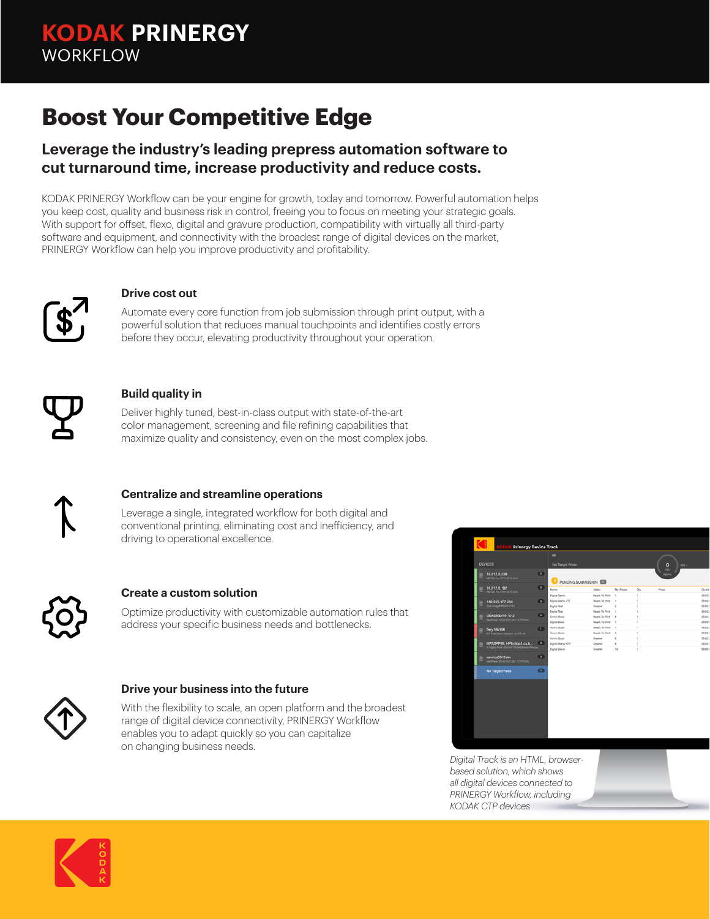# **Boost Your Competitive Edge**

### **Leverage the industry's leading prepress automation software to cut turnaround time, increase productivity and reduce costs.**

KODAK PRINERGY Workflow can be your engine for growth, today and tomorrow. Powerful automation helps you keep cost, quality and business risk in control, freeing you to focus on meeting your strategic goals. With support for offset, flexo, digital and gravure production, compatibility with virtually all third-party software and equipment, and connectivity with the broadest range of digital devices on the market, PRINERGY Workflow can help you improve productivity and profitability.



#### **Drive cost out**

Automate every core function from job submission through print output, with a powerful solution that reduces manual touchpoints and identifies costly errors before they occur, elevating productivity throughout your operation.



#### **Build quality in**

Deliver highly tuned, best-in-class output with state-of-the-art color management, screening and file refining capabilities that maximize quality and consistency, even on the most complex jobs.



#### **Centralize and streamline operations**

Leverage a single, integrated workflow for both digital and conventional printing, eliminating cost and inefficiency, and driving to operational excellence.



#### **Create a custom solution**

Optimize productivity with customizable automation rules that address your specific business needs and bottlenecks.



#### **Drive your business into the future**

With the flexibility to scale, an open platform and the broadest range of digital device connectivity, PRINERGY Workflow enables you to adapt quickly so you can capitalize on changing business needs.



*Digital Track is an HTML, browserbased solution, which shows all digital devices connected to PRINERGY Workflow, including KODAK CTP devices*

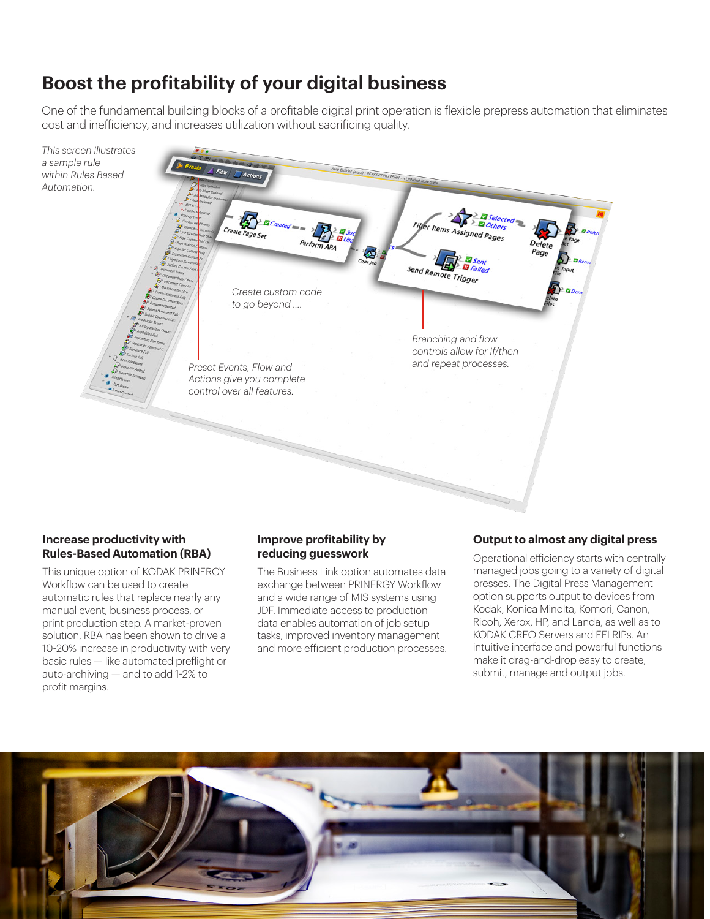## **Boost the profitability of your digital business**

One of the fundamental building blocks of a profitable digital print operation is flexible prepress automation that eliminates cost and inefficiency, and increases utilization without sacrificing quality.



#### **Increase productivity with Rules-Based Automation (RBA)**

This unique option of KODAK PRINERGY Workflow can be used to create automatic rules that replace nearly any manual event, business process, or print production step. A market-proven solution, RBA has been shown to drive a 10-20% increase in productivity with very basic rules — like automated preflight or auto-archiving — and to add 1-2% to profit margins.

#### **Improve profitability by reducing guesswork**

The Business Link option automates data exchange between PRINERGY Workflow and a wide range of MIS systems using JDF. Immediate access to production data enables automation of job setup tasks, improved inventory management and more efficient production processes.

#### **Output to almost any digital press**

Operational efficiency starts with centrally managed jobs going to a variety of digital presses. The Digital Press Management option supports output to devices from Kodak, Konica Minolta, Komori, Canon, Ricoh, Xerox, HP, and Landa, as well as to KODAK CREO Servers and EFI RIPs. An intuitive interface and powerful functions make it drag-and-drop easy to create, submit, manage and output jobs.

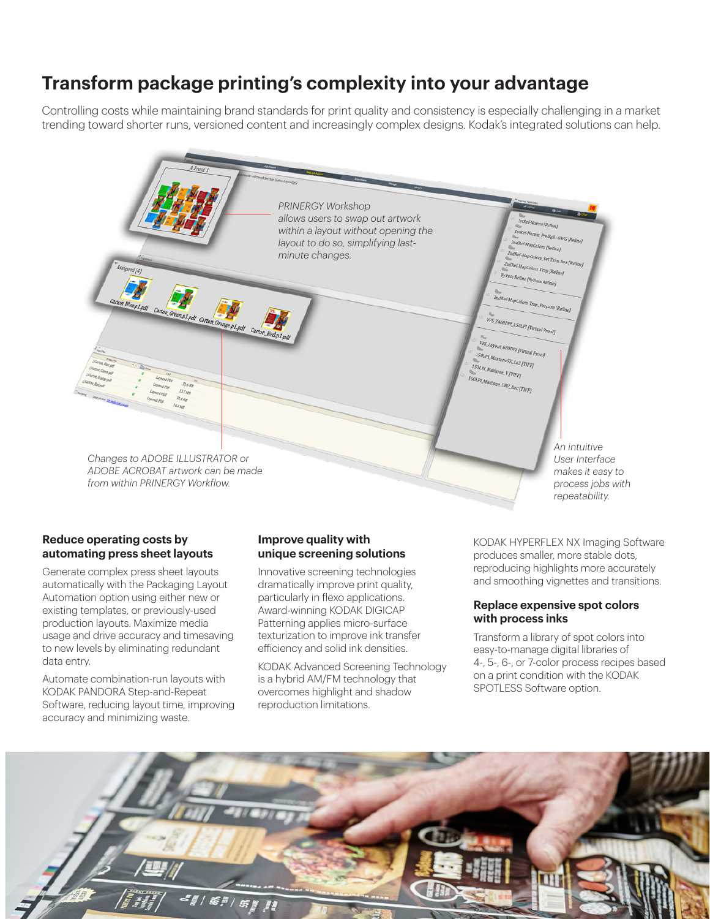### **Transform package printing's complexity into your advantage**

Controlling costs while maintaining brand standards for print quality and consistency is especially challenging in a market trending toward shorter runs, versioned content and increasingly complex designs. Kodak's integrated solutions can help.



#### **Reduce operating costs by automating press sheet layouts**

Generate complex press sheet layouts automatically with the Packaging Layout Automation option using either new or existing templates, or previously-used production layouts. Maximize media usage and drive accuracy and timesaving to new levels by eliminating redundant data entry.

Automate combination-run layouts with KODAK PANDORA Step-and-Repeat Software, reducing layout time, improving accuracy and minimizing waste.

#### **Improve quality with unique screening solutions**

Innovative screening technologies dramatically improve print quality, particularly in flexo applications. Award-winning KODAK DIGICAP Patterning applies micro-surface texturization to improve ink transfer efficiency and solid ink densities.

KODAK Advanced Screening Technology is a hybrid AM/FM technology that overcomes highlight and shadow reproduction limitations.

KODAK HYPERFLEX NX Imaging Software produces smaller, more stable dots, reproducing highlights more accurately and smoothing vignettes and transitions.

#### **Replace expensive spot colors with process inks**

Transform a library of spot colors into easy-to-manage digital libraries of 4-, 5-, 6-, or 7-color process recipes based on a print condition with the KODAK SPOTLESS Software option.